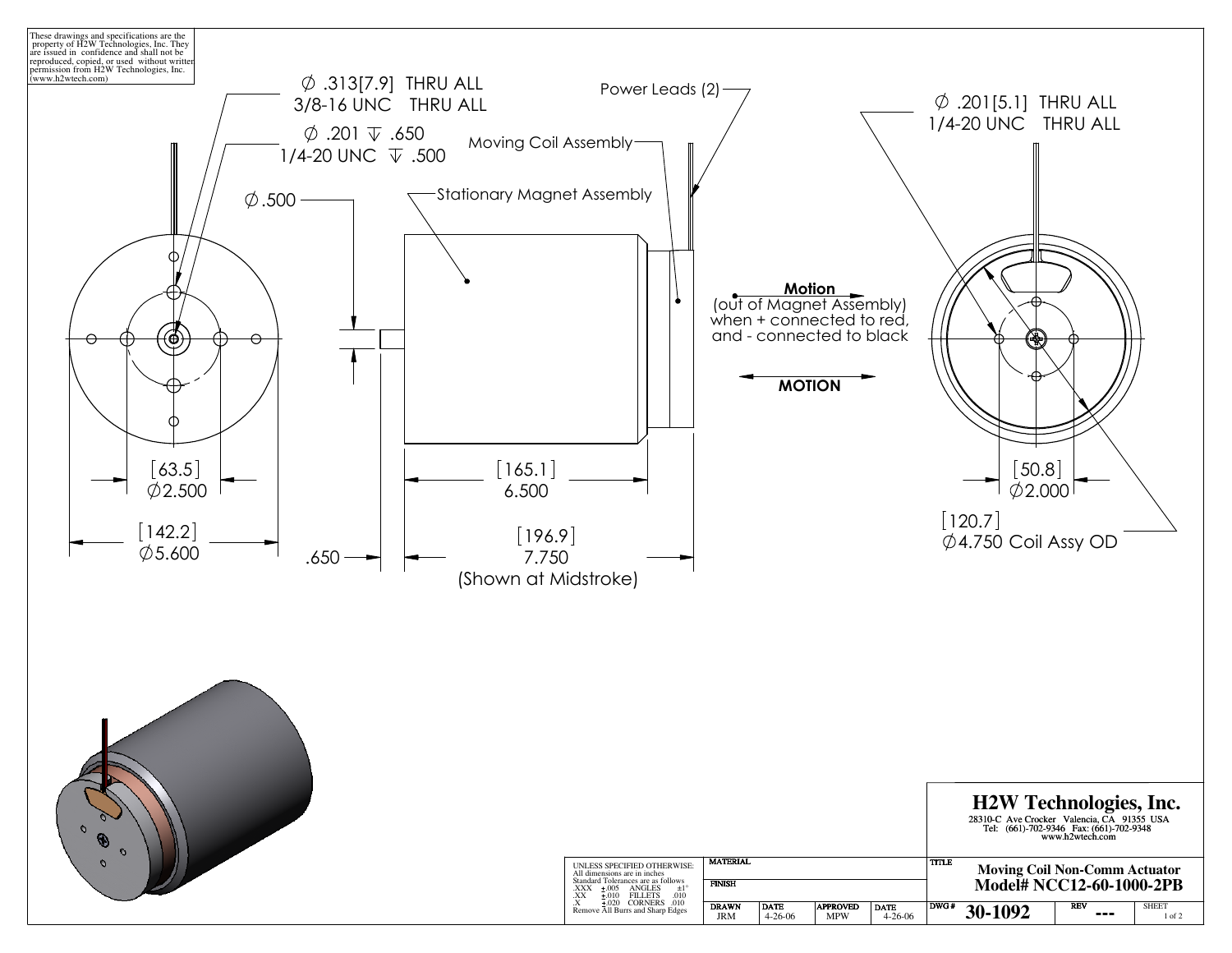